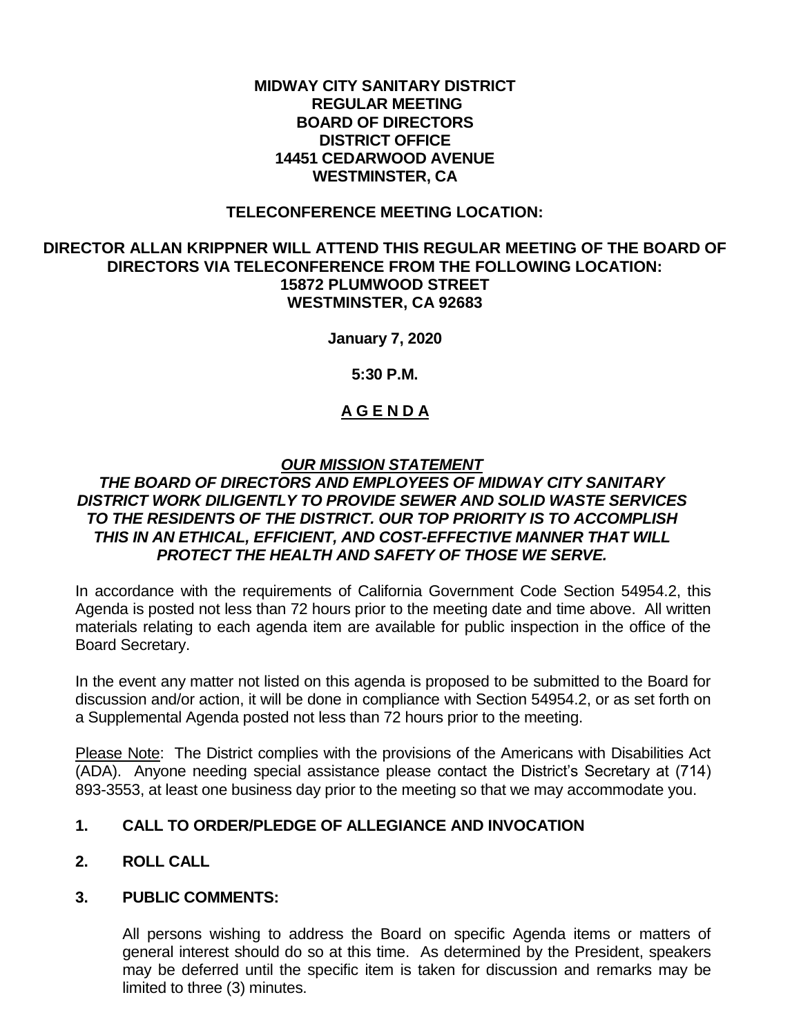#### **MIDWAY CITY SANITARY DISTRICT REGULAR MEETING BOARD OF DIRECTORS DISTRICT OFFICE 14451 CEDARWOOD AVENUE WESTMINSTER, CA**

#### **TELECONFERENCE MEETING LOCATION:**

#### **DIRECTOR ALLAN KRIPPNER WILL ATTEND THIS REGULAR MEETING OF THE BOARD OF DIRECTORS VIA TELECONFERENCE FROM THE FOLLOWING LOCATION: 15872 PLUMWOOD STREET WESTMINSTER, CA 92683**

**January 7, 2020**

**5:30 P.M.**

## **A G E N D A**

## *OUR MISSION STATEMENT*

## *THE BOARD OF DIRECTORS AND EMPLOYEES OF MIDWAY CITY SANITARY DISTRICT WORK DILIGENTLY TO PROVIDE SEWER AND SOLID WASTE SERVICES TO THE RESIDENTS OF THE DISTRICT. OUR TOP PRIORITY IS TO ACCOMPLISH THIS IN AN ETHICAL, EFFICIENT, AND COST-EFFECTIVE MANNER THAT WILL PROTECT THE HEALTH AND SAFETY OF THOSE WE SERVE.*

In accordance with the requirements of California Government Code Section 54954.2, this Agenda is posted not less than 72 hours prior to the meeting date and time above. All written materials relating to each agenda item are available for public inspection in the office of the Board Secretary.

In the event any matter not listed on this agenda is proposed to be submitted to the Board for discussion and/or action, it will be done in compliance with Section 54954.2, or as set forth on a Supplemental Agenda posted not less than 72 hours prior to the meeting.

Please Note: The District complies with the provisions of the Americans with Disabilities Act (ADA). Anyone needing special assistance please contact the District's Secretary at (714) 893-3553, at least one business day prior to the meeting so that we may accommodate you.

## **1. CALL TO ORDER/PLEDGE OF ALLEGIANCE AND INVOCATION**

## **2. ROLL CALL**

## **3. PUBLIC COMMENTS:**

All persons wishing to address the Board on specific Agenda items or matters of general interest should do so at this time. As determined by the President, speakers may be deferred until the specific item is taken for discussion and remarks may be limited to three (3) minutes.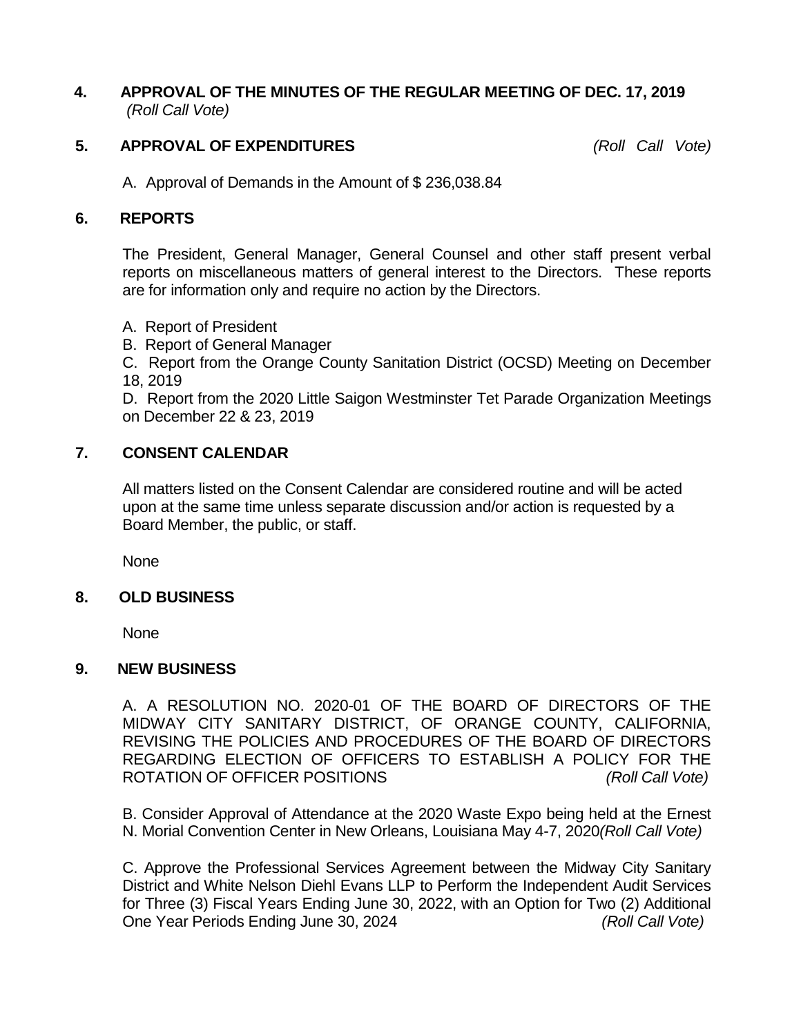## **4. APPROVAL OF THE MINUTES OF THE REGULAR MEETING OF DEC. 17, 2019** *(Roll Call Vote)*

## **5. APPROVAL OF EXPENDITURES** *(Roll Call Vote)*

A. Approval of Demands in the Amount of \$ 236,038.84

#### **6. REPORTS**

The President, General Manager, General Counsel and other staff present verbal reports on miscellaneous matters of general interest to the Directors. These reports are for information only and require no action by the Directors.

- A. Report of President
- B. Report of General Manager

C. Report from the Orange County Sanitation District (OCSD) Meeting on December 18, 2019

D. Report from the 2020 Little Saigon Westminster Tet Parade Organization Meetings on December 22 & 23, 2019

#### **7. CONSENT CALENDAR**

All matters listed on the Consent Calendar are considered routine and will be acted upon at the same time unless separate discussion and/or action is requested by a Board Member, the public, or staff.

None

#### **8. OLD BUSINESS**

None

#### **9. NEW BUSINESS**

A. A RESOLUTION NO. 2020-01 OF THE BOARD OF DIRECTORS OF THE MIDWAY CITY SANITARY DISTRICT, OF ORANGE COUNTY, CALIFORNIA, REVISING THE POLICIES AND PROCEDURES OF THE BOARD OF DIRECTORS REGARDING ELECTION OF OFFICERS TO ESTABLISH A POLICY FOR THE ROTATION OF OFFICER POSITIONS *(Roll Call Vote)*

B. Consider Approval of Attendance at the 2020 Waste Expo being held at the Ernest N. Morial Convention Center in New Orleans, Louisiana May 4-7, 2020*(Roll Call Vote)*

C. Approve the Professional Services Agreement between the Midway City Sanitary District and White Nelson Diehl Evans LLP to Perform the Independent Audit Services for Three (3) Fiscal Years Ending June 30, 2022, with an Option for Two (2) Additional One Year Periods Ending June 30, 2024 *(Roll Call Vote)*